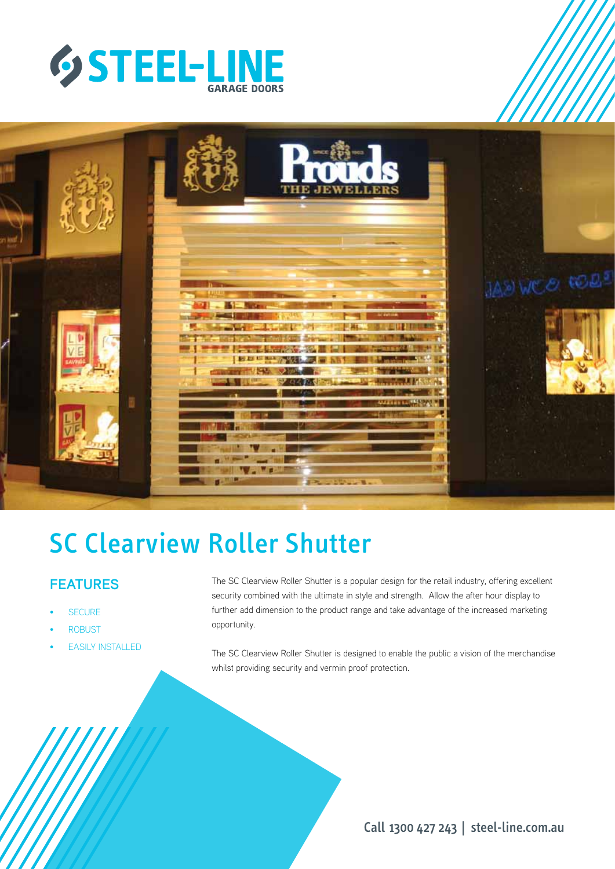



# SC Clearview Roller Shutter

# **FEATURES**

- **SECURE**
- **ROBUST**
- **EASILY INSTALLED**

The SC Clearview Roller Shutter is a popular design for the retail industry, offering excellent security combined with the ultimate in style and strength. Allow the after hour display to further add dimension to the product range and take advantage of the increased marketing opportunity.

The SC Clearview Roller Shutter is designed to enable the public a vision of the merchandise whilst providing security and vermin proof protection.

Call 1300 427 243 | steel-line.com.au